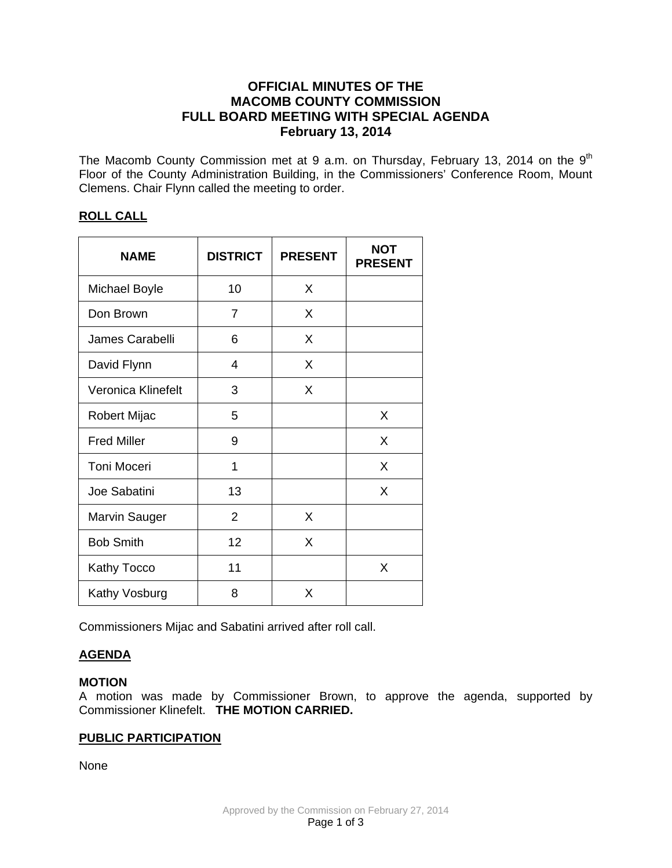## **OFFICIAL MINUTES OF THE MACOMB COUNTY COMMISSION FULL BOARD MEETING WITH SPECIAL AGENDA February 13, 2014**

The Macomb County Commission met at 9 a.m. on Thursday, February 13, 2014 on the  $9<sup>th</sup>$ Floor of the County Administration Building, in the Commissioners' Conference Room, Mount Clemens. Chair Flynn called the meeting to order.

### **ROLL CALL**

| <b>NAME</b>          | <b>DISTRICT</b> | <b>PRESENT</b> | <b>NOT</b><br><b>PRESENT</b> |
|----------------------|-----------------|----------------|------------------------------|
| <b>Michael Boyle</b> | 10              | X              |                              |
| Don Brown            | 7               | X              |                              |
| James Carabelli      | 6               | X              |                              |
| David Flynn          | 4               | X              |                              |
| Veronica Klinefelt   | 3               | X              |                              |
| Robert Mijac         | 5               |                | X                            |
| <b>Fred Miller</b>   | 9               |                | X                            |
| <b>Toni Moceri</b>   | 1               |                | X                            |
| Joe Sabatini         | 13              |                | X                            |
| <b>Marvin Sauger</b> | $\overline{2}$  | X              |                              |
| <b>Bob Smith</b>     | 12              | X              |                              |
| Kathy Tocco          | 11              |                | X                            |
| Kathy Vosburg        | 8               | X              |                              |

Commissioners Mijac and Sabatini arrived after roll call.

# **AGENDA**

## **MOTION**

A motion was made by Commissioner Brown, to approve the agenda, supported by Commissioner Klinefelt. **THE MOTION CARRIED.**

# **PUBLIC PARTICIPATION**

None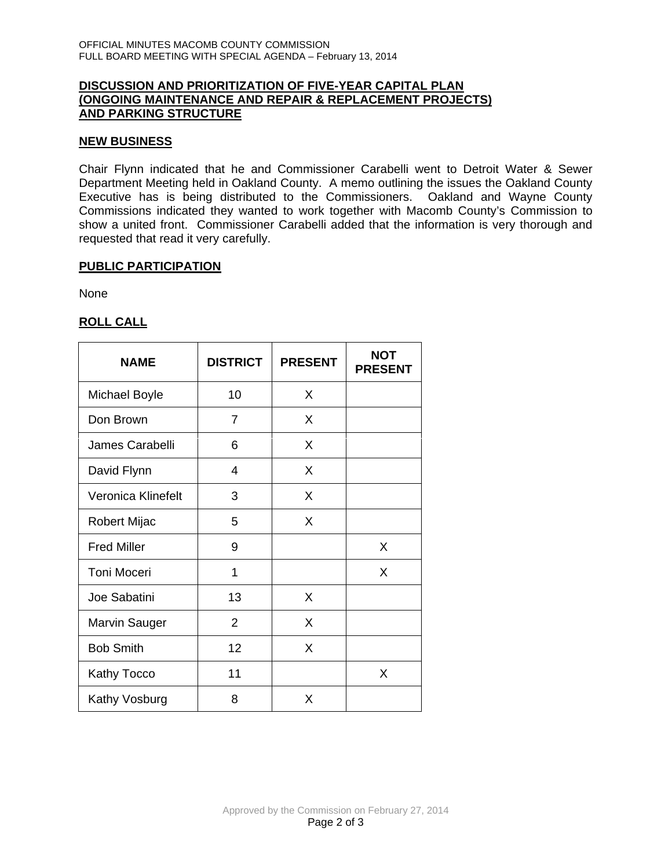### **DISCUSSION AND PRIORITIZATION OF FIVE-YEAR CAPITAL PLAN (ONGOING MAINTENANCE AND REPAIR & REPLACEMENT PROJECTS) AND PARKING STRUCTURE**

#### **NEW BUSINESS**

Chair Flynn indicated that he and Commissioner Carabelli went to Detroit Water & Sewer Department Meeting held in Oakland County. A memo outlining the issues the Oakland County Executive has is being distributed to the Commissioners. Oakland and Wayne County Commissions indicated they wanted to work together with Macomb County's Commission to show a united front. Commissioner Carabelli added that the information is very thorough and requested that read it very carefully.

#### **PUBLIC PARTICIPATION**

None

## **ROLL CALL**

| <b>NAME</b>          | <b>DISTRICT</b> | <b>PRESENT</b> | <b>NOT</b><br><b>PRESENT</b> |
|----------------------|-----------------|----------------|------------------------------|
| <b>Michael Boyle</b> | 10              | X              |                              |
| Don Brown            | 7               | X              |                              |
| James Carabelli      | 6               | X              |                              |
| David Flynn          | 4               | X              |                              |
| Veronica Klinefelt   | 3               | X              |                              |
| Robert Mijac         | 5               | X              |                              |
| <b>Fred Miller</b>   | 9               |                | X                            |
| <b>Toni Moceri</b>   | 1               |                | X                            |
| Joe Sabatini         | 13              | X              |                              |
| <b>Marvin Sauger</b> | 2               | X              |                              |
| <b>Bob Smith</b>     | 12              | X              |                              |
| Kathy Tocco          | 11              |                | X                            |
| Kathy Vosburg        | 8               | X              |                              |